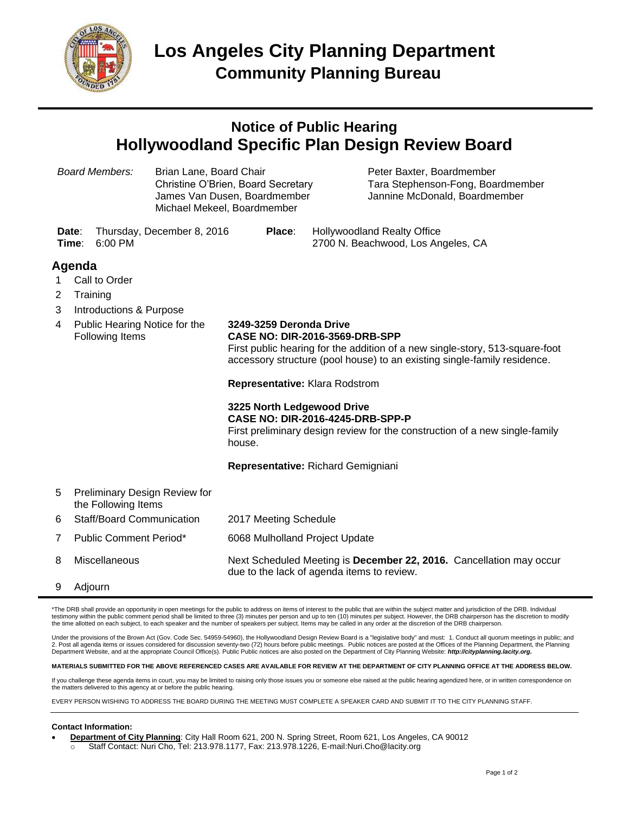

## **Notice of Public Hearing Hollywoodland Specific Plan Design Review Board**

| <b>Board Members:</b> |                                                      | Brian Lane, Board Chair<br>Christine O'Brien, Board Secretary<br>James Van Dusen, Boardmember<br>Michael Mekeel, Boardmember |                                                                                                                                                                                                                              | Peter Baxter, Boardmember<br>Tara Stephenson-Fong, Boardmember<br>Jannine McDonald, Boardmember                        |  |
|-----------------------|------------------------------------------------------|------------------------------------------------------------------------------------------------------------------------------|------------------------------------------------------------------------------------------------------------------------------------------------------------------------------------------------------------------------------|------------------------------------------------------------------------------------------------------------------------|--|
|                       | Date:<br>Time:<br>$6:00$ PM                          | Thursday, December 8, 2016                                                                                                   | Place:                                                                                                                                                                                                                       | <b>Hollywoodland Realty Office</b><br>2700 N. Beachwood, Los Angeles, CA                                               |  |
|                       | Agenda                                               |                                                                                                                              |                                                                                                                                                                                                                              |                                                                                                                        |  |
| 1                     | Call to Order                                        |                                                                                                                              |                                                                                                                                                                                                                              |                                                                                                                        |  |
| 2                     | Training                                             |                                                                                                                              |                                                                                                                                                                                                                              |                                                                                                                        |  |
| 3                     | Introductions & Purpose                              |                                                                                                                              |                                                                                                                                                                                                                              |                                                                                                                        |  |
| 4                     | Public Hearing Notice for the<br>Following Items     |                                                                                                                              | 3249-3259 Deronda Drive<br><b>CASE NO: DIR-2016-3569-DRB-SPP</b><br>First public hearing for the addition of a new single-story, 513-square-foot<br>accessory structure (pool house) to an existing single-family residence. |                                                                                                                        |  |
|                       |                                                      |                                                                                                                              | Representative: Klara Rodstrom                                                                                                                                                                                               |                                                                                                                        |  |
|                       |                                                      |                                                                                                                              | 3225 North Ledgewood Drive<br>house.                                                                                                                                                                                         | <b>CASE NO: DIR-2016-4245-DRB-SPP-P</b><br>First preliminary design review for the construction of a new single-family |  |
|                       |                                                      |                                                                                                                              |                                                                                                                                                                                                                              | Representative: Richard Gemigniani                                                                                     |  |
| 5                     | Preliminary Design Review for<br>the Following Items |                                                                                                                              |                                                                                                                                                                                                                              |                                                                                                                        |  |
| 6                     | Staff/Board Communication                            |                                                                                                                              | 2017 Meeting Schedule                                                                                                                                                                                                        |                                                                                                                        |  |
| 7                     | <b>Public Comment Period*</b>                        |                                                                                                                              | 6068 Mulholland Project Update                                                                                                                                                                                               |                                                                                                                        |  |
| 8                     | Miscellaneous                                        |                                                                                                                              |                                                                                                                                                                                                                              | Next Scheduled Meeting is December 22, 2016. Cancellation may occur<br>due to the lack of agenda items to review.      |  |

9 Adjourn

\*The DRB shall provide an opportunity in open meetings for the public to address on items of interest to the public that are within the subject matter and jurisdiction of the DRB. Individual testimony within the public comment period shall be limited to three (3) minutes per person and up to ten (10) minutes per subject. However, the DRB chairperson has the discretion to modify<br>the time allotted on each subjec

Under the provisions of the Brown Act (Gov. Code Sec. 54959-54960), the Hollywoodland Design Review Board is a "legislative body" and must: 1. Conduct all quorum meetings in public: and 2. Post all agenda items or issues considered for discussion seventy-two (72) hours before public meetings. Public notices are posted at the Offices of the Planning Department, the Planning Department Website, and at the appropriate Council Office(s). Public Public notices are also posted on the Department of City Planning Website: *http://cityplanning.lacity.org.*

**MATERIALS SUBMITTED FOR THE ABOVE REFERENCED CASES ARE AVAILABLE FOR REVIEW AT THE DEPARTMENT OF CITY PLANNING OFFICE AT THE ADDRESS BELOW.**

If you challenge these agenda items in court, you may be limited to raising only those issues you or someone else raised at the public hearing agendized here, or in written correspondence on the matters delivered to this agency at or before the public hearing.

EVERY PERSON WISHING TO ADDRESS THE BOARD DURING THE MEETING MUST COMPLETE A SPEAKER CARD AND SUBMIT IT TO THE CITY PLANNING STAFF.

## **Contact Information:**

- **Department of City Planning**: City Hall Room 621, 200 N. Spring Street, Room 621, Los Angeles, CA 90012
	- o Staff Contact: Nuri Cho, Tel: 213.978.1177, Fax: 213.978.1226, E-mail:Nuri.Cho@lacity.org